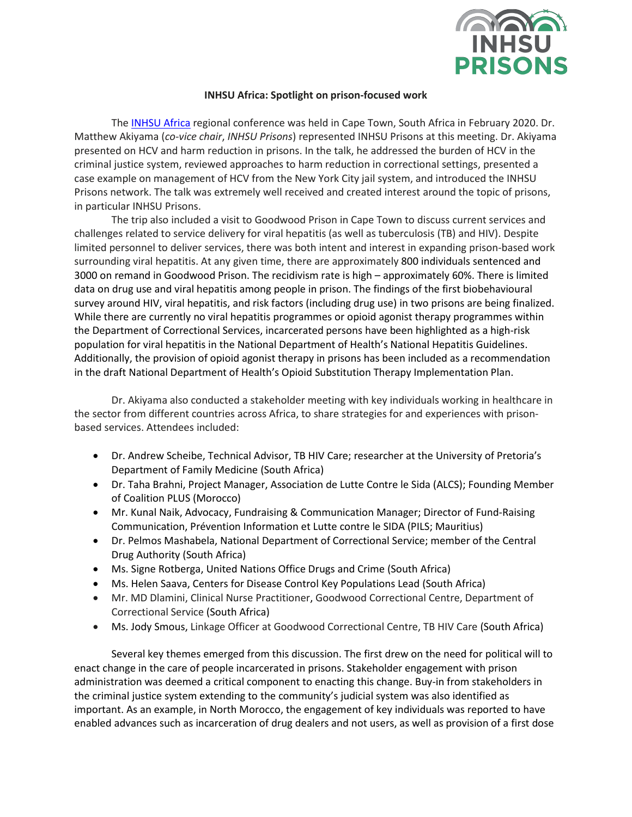

## **INHSU Africa: Spotlight on prison-focused work**

The [INHSU](https://www.inhsu.org/inhsu-africa-2020/) Africa regional conference was held in Cape Town, South Africa in February 2020. Dr. Matthew Akiyama (*co-vice chair*, *INHSU Prisons*) represented INHSU Prisons at this meeting. Dr. Akiyama presented on HCV and harm reduction in prisons. In the talk, he addressed the burden of HCV in the criminal justice system, reviewed approaches to harm reduction in correctional settings, presented a case example on management of HCV from the New York City jail system, and introduced the INHSU Prisons network. The talk was extremely well received and created interest around the topic of prisons, in particular INHSU Prisons.

The trip also included a visit to Goodwood Prison in Cape Town to discuss current services and challenges related to service delivery for viral hepatitis (as well as tuberculosis (TB) and HIV). Despite limited personnel to deliver services, there was both intent and interest in expanding prison-based work surrounding viral hepatitis. At any given time, there are approximately 800 individuals sentenced and 3000 on remand in Goodwood Prison. The recidivism rate is high – approximately 60%. There is limited data on drug use and viral hepatitis among people in prison. The findings of the first biobehavioural survey around HIV, viral hepatitis, and risk factors (including drug use) in two prisons are being finalized. While there are currently no viral hepatitis programmes or opioid agonist therapy programmes within the Department of Correctional Services, incarcerated persons have been highlighted as a high-risk population for viral hepatitis in the National Department of Health's National Hepatitis Guidelines. Additionally, the provision of opioid agonist therapy in prisons has been included as a recommendation in the draft National Department of Health's Opioid Substitution Therapy Implementation Plan.

Dr. Akiyama also conducted a stakeholder meeting with key individuals working in healthcare in the sector from different countries across Africa, to share strategies for and experiences with prisonbased services. Attendees included:

- Dr. Andrew Scheibe, Technical Advisor, TB HIV Care; researcher at the University of Pretoria's Department of Family Medicine (South Africa)
- Dr. Taha Brahni, Project Manager, Association de Lutte Contre le Sida (ALCS); Founding Member of Coalition PLUS (Morocco)
- Mr. Kunal Naik, Advocacy, Fundraising & Communication Manager; Director of Fund-Raising Communication, Prévention Information et Lutte contre le SIDA (PILS; Mauritius)
- Dr. Pelmos Mashabela, National Department of Correctional Service; member of the Central Drug Authority (South Africa)
- Ms. Signe Rotberga, United Nations Office Drugs and Crime (South Africa)
- Ms. Helen Saava, Centers for Disease Control Key Populations Lead (South Africa)
- Mr. MD Dlamini, Clinical Nurse Practitioner, Goodwood Correctional Centre, Department of Correctional Service (South Africa)
- Ms. Jody Smous, Linkage Officer at Goodwood Correctional Centre, TB HIV Care (South Africa)

Several key themes emerged from this discussion. The first drew on the need for political will to enact change in the care of people incarcerated in prisons. Stakeholder engagement with prison administration was deemed a critical component to enacting this change. Buy-in from stakeholders in the criminal justice system extending to the community's judicial system was also identified as important. As an example, in North Morocco, the engagement of key individuals was reported to have enabled advances such as incarceration of drug dealers and not users, as well as provision of a first dose